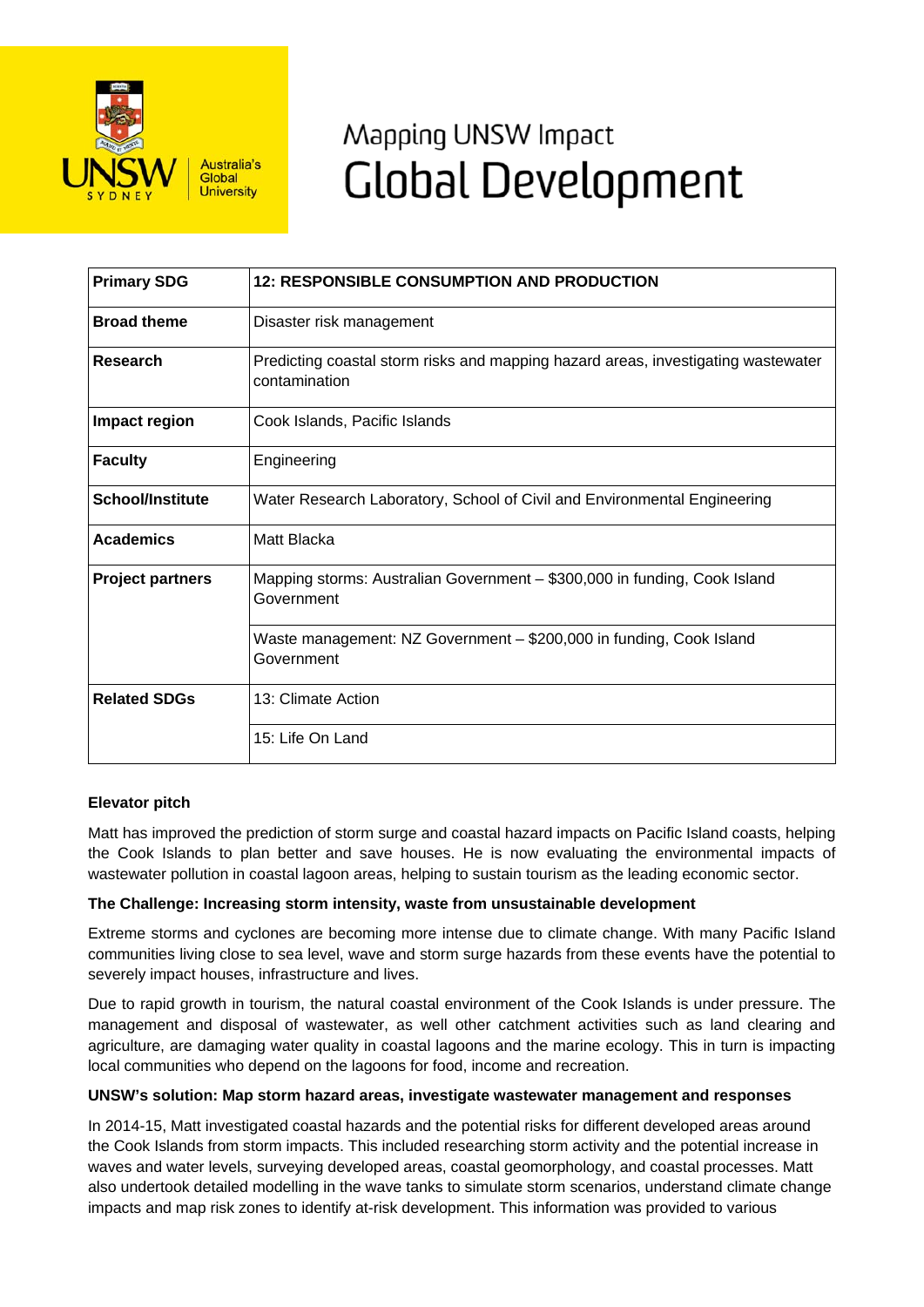

# Mapping UNSW Impact **Global Development**

| <b>Primary SDG</b>      | <b>12: RESPONSIBLE CONSUMPTION AND PRODUCTION</b>                                                  |
|-------------------------|----------------------------------------------------------------------------------------------------|
| <b>Broad theme</b>      | Disaster risk management                                                                           |
| Research                | Predicting coastal storm risks and mapping hazard areas, investigating wastewater<br>contamination |
| Impact region           | Cook Islands, Pacific Islands                                                                      |
| <b>Faculty</b>          | Engineering                                                                                        |
| <b>School/Institute</b> | Water Research Laboratory, School of Civil and Environmental Engineering                           |
| <b>Academics</b>        | Matt Blacka                                                                                        |
| <b>Project partners</b> | Mapping storms: Australian Government - \$300,000 in funding, Cook Island<br>Government            |
|                         | Waste management: NZ Government - \$200,000 in funding, Cook Island<br>Government                  |
| <b>Related SDGs</b>     | 13: Climate Action                                                                                 |
|                         | 15: Life On Land                                                                                   |

## **Elevator pitch**

Matt has improved the prediction of storm surge and coastal hazard impacts on Pacific Island coasts, helping the Cook Islands to plan better and save houses. He is now evaluating the environmental impacts of wastewater pollution in coastal lagoon areas, helping to sustain tourism as the leading economic sector.

## **The Challenge: Increasing storm intensity, waste from unsustainable development**

Extreme storms and cyclones are becoming more intense due to climate change. With many Pacific Island communities living close to sea level, wave and storm surge hazards from these events have the potential to severely impact houses, infrastructure and lives.

Due to rapid growth in tourism, the natural coastal environment of the Cook Islands is under pressure. The management and disposal of wastewater, as well other catchment activities such as land clearing and agriculture, are damaging water quality in coastal lagoons and the marine ecology. This in turn is impacting local communities who depend on the lagoons for food, income and recreation.

#### **UNSW's solution: Map storm hazard areas, investigate wastewater management and responses**

In 2014-15, Matt investigated coastal hazards and the potential risks for different developed areas around the Cook Islands from storm impacts. This included researching storm activity and the potential increase in waves and water levels, surveying developed areas, coastal geomorphology, and coastal processes. Matt also undertook detailed modelling in the wave tanks to simulate storm scenarios, understand climate change impacts and map risk zones to identify at-risk development. This information was provided to various